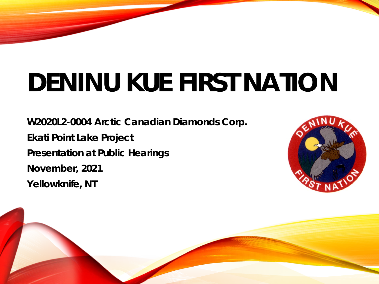**W2020L2-0004 Arctic Canadian Diamonds Corp. Ekati Point Lake Project Presentation at Public Hearings November, 2021 Yellowknife, NT**



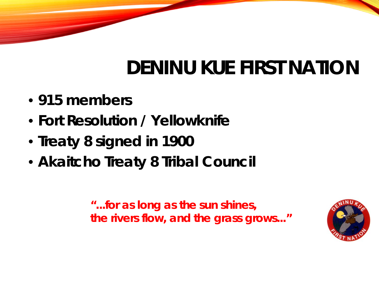- **915 members**
- **Fort Resolution / Yellowknife**
- **Treaty 8 signed in 1900**
- **Akaitcho Treaty 8 Tribal Council**

*"...for as long as the sun shines, the rivers flow, and the grass grows..."*

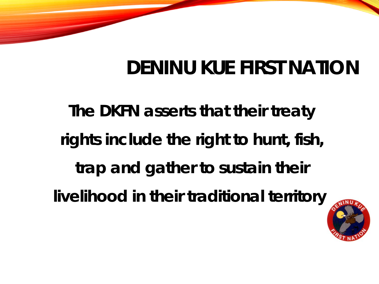*The DKFN asserts that their treaty rights include the right to hunt, fish, trap and gather to sustain their livelihood in their traditional territory.*

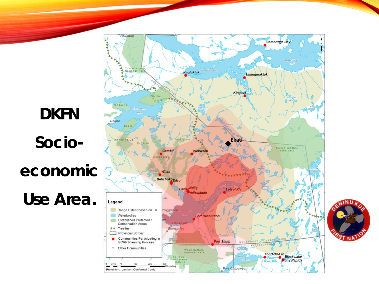

۱N. **NA** 

*Socio -*

*DKFN* 

*economic* 

*Use Area.*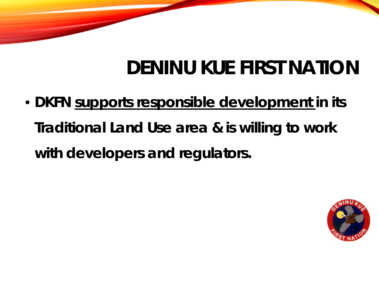• **DKFN** *supports responsible development* **in its Traditional Land Use area & is willing to work with developers and regulators.**

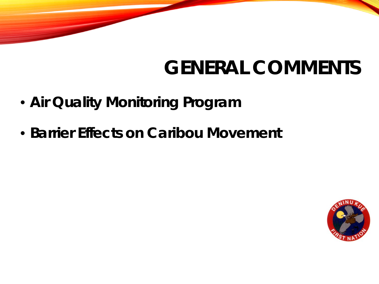### **GENERAL COMMENTS**

- **Air Quality Monitoring Program**
- **Barrier Effects on Caribou Movement**

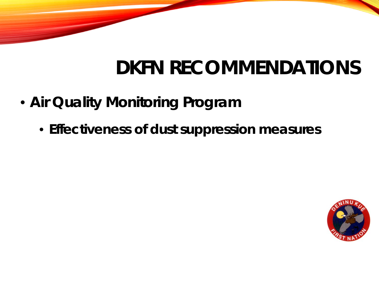### **DKFN RECOMMENDATIONS**

- **Air Quality Monitoring Program**
	- **Effectiveness of dust suppression measures**

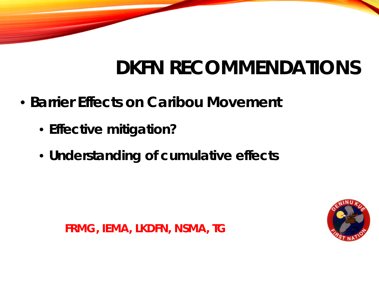### **DKFN RECOMMENDATIONS**

- **Barrier Effects on Caribou Movement**
	- **Effective mitigation?**
	- **Understanding of cumulative effects**



*FRMG, IEMA, LKDFN, NSMA, TG*